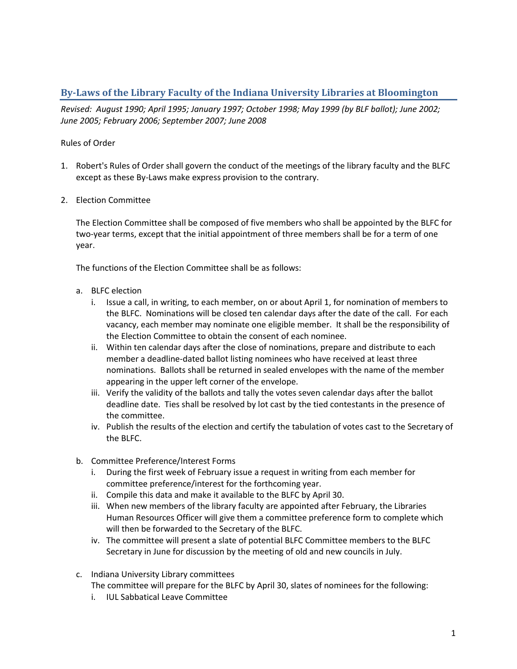# **By-Laws of the Library Faculty of the Indiana University Libraries at Bloomington**

*Revised: August 1990; April 1995; January 1997; October 1998; May 1999 (by BLF ballot); June 2002; June 2005; February 2006; September 2007; June 2008*

### Rules of Order

- 1. Robert's Rules of Order shall govern the conduct of the meetings of the library faculty and the BLFC except as these By-Laws make express provision to the contrary.
- 2. Election Committee

The Election Committee shall be composed of five members who shall be appointed by the BLFC for two-year terms, except that the initial appointment of three members shall be for a term of one year.

The functions of the Election Committee shall be as follows:

- a. BLFC election
	- i. Issue a call, in writing, to each member, on or about April 1, for nomination of members to the BLFC. Nominations will be closed ten calendar days after the date of the call. For each vacancy, each member may nominate one eligible member. It shall be the responsibility of the Election Committee to obtain the consent of each nominee.
	- ii. Within ten calendar days after the close of nominations, prepare and distribute to each member a deadline-dated ballot listing nominees who have received at least three nominations. Ballots shall be returned in sealed envelopes with the name of the member appearing in the upper left corner of the envelope.
	- iii. Verify the validity of the ballots and tally the votes seven calendar days after the ballot deadline date. Ties shall be resolved by lot cast by the tied contestants in the presence of the committee.
	- iv. Publish the results of the election and certify the tabulation of votes cast to the Secretary of the BLFC.
- b. Committee Preference/Interest Forms
	- i. During the first week of February issue a request in writing from each member for committee preference/interest for the forthcoming year.
	- ii. Compile this data and make it available to the BLFC by April 30.
	- iii. When new members of the library faculty are appointed after February, the Libraries Human Resources Officer will give them a committee preference form to complete which will then be forwarded to the Secretary of the BLFC.
	- iv. The committee will present a slate of potential BLFC Committee members to the BLFC Secretary in June for discussion by the meeting of old and new councils in July.
- c. Indiana University Library committees

The committee will prepare for the BLFC by April 30, slates of nominees for the following:

i. IUL Sabbatical Leave Committee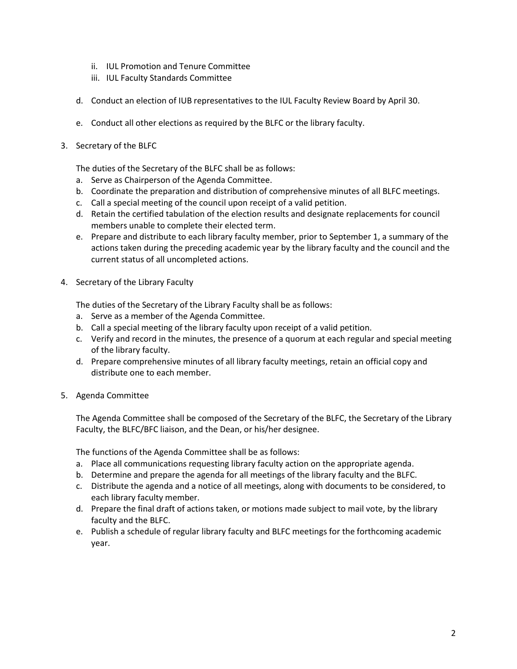- ii. IUL Promotion and Tenure Committee
- iii. IUL Faculty Standards Committee
- d. Conduct an election of IUB representatives to the IUL Faculty Review Board by April 30.
- e. Conduct all other elections as required by the BLFC or the library faculty.
- 3. Secretary of the BLFC

The duties of the Secretary of the BLFC shall be as follows:

- a. Serve as Chairperson of the Agenda Committee.
- b. Coordinate the preparation and distribution of comprehensive minutes of all BLFC meetings.
- c. Call a special meeting of the council upon receipt of a valid petition.
- d. Retain the certified tabulation of the election results and designate replacements for council members unable to complete their elected term.
- e. Prepare and distribute to each library faculty member, prior to September 1, a summary of the actions taken during the preceding academic year by the library faculty and the council and the current status of all uncompleted actions.
- 4. Secretary of the Library Faculty

The duties of the Secretary of the Library Faculty shall be as follows:

- a. Serve as a member of the Agenda Committee.
- b. Call a special meeting of the library faculty upon receipt of a valid petition.
- c. Verify and record in the minutes, the presence of a quorum at each regular and special meeting of the library faculty.
- d. Prepare comprehensive minutes of all library faculty meetings, retain an official copy and distribute one to each member.
- 5. Agenda Committee

The Agenda Committee shall be composed of the Secretary of the BLFC, the Secretary of the Library Faculty, the BLFC/BFC liaison, and the Dean, or his/her designee.

The functions of the Agenda Committee shall be as follows:

- a. Place all communications requesting library faculty action on the appropriate agenda.
- b. Determine and prepare the agenda for all meetings of the library faculty and the BLFC.
- c. Distribute the agenda and a notice of all meetings, along with documents to be considered, to each library faculty member.
- d. Prepare the final draft of actions taken, or motions made subject to mail vote, by the library faculty and the BLFC.
- e. Publish a schedule of regular library faculty and BLFC meetings for the forthcoming academic year.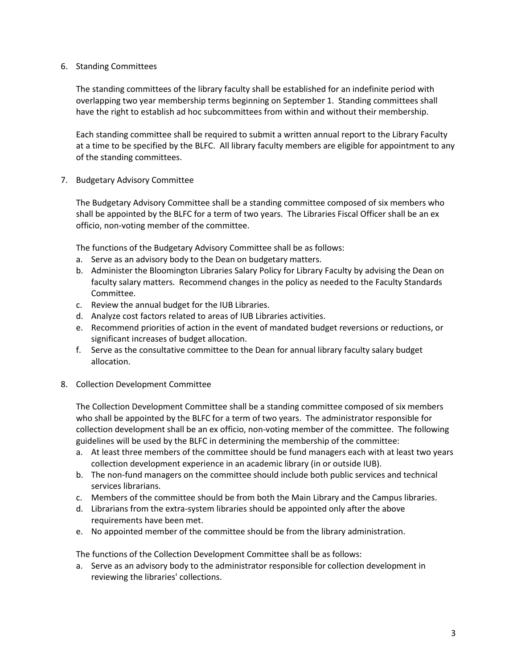### 6. Standing Committees

The standing committees of the library faculty shall be established for an indefinite period with overlapping two year membership terms beginning on September 1. Standing committees shall have the right to establish ad hoc subcommittees from within and without their membership.

Each standing committee shall be required to submit a written annual report to the Library Faculty at a time to be specified by the BLFC. All library faculty members are eligible for appointment to any of the standing committees.

7. Budgetary Advisory Committee

The Budgetary Advisory Committee shall be a standing committee composed of six members who shall be appointed by the BLFC for a term of two years. The Libraries Fiscal Officer shall be an ex officio, non-voting member of the committee.

The functions of the Budgetary Advisory Committee shall be as follows:

- a. Serve as an advisory body to the Dean on budgetary matters.
- b. Administer the Bloomington Libraries Salary Policy for Library Faculty by advising the Dean on faculty salary matters. Recommend changes in the policy as needed to the Faculty Standards Committee.
- c. Review the annual budget for the IUB Libraries.
- d. Analyze cost factors related to areas of IUB Libraries activities.
- e. Recommend priorities of action in the event of mandated budget reversions or reductions, or significant increases of budget allocation.
- f. Serve as the consultative committee to the Dean for annual library faculty salary budget allocation.
- 8. Collection Development Committee

The Collection Development Committee shall be a standing committee composed of six members who shall be appointed by the BLFC for a term of two years. The administrator responsible for collection development shall be an ex officio, non-voting member of the committee. The following guidelines will be used by the BLFC in determining the membership of the committee:

- a. At least three members of the committee should be fund managers each with at least two years collection development experience in an academic library (in or outside IUB).
- b. The non-fund managers on the committee should include both public services and technical services librarians.
- c. Members of the committee should be from both the Main Library and the Campus libraries.
- d. Librarians from the extra-system libraries should be appointed only after the above requirements have been met.
- e. No appointed member of the committee should be from the library administration.

The functions of the Collection Development Committee shall be as follows:

a. Serve as an advisory body to the administrator responsible for collection development in reviewing the libraries' collections.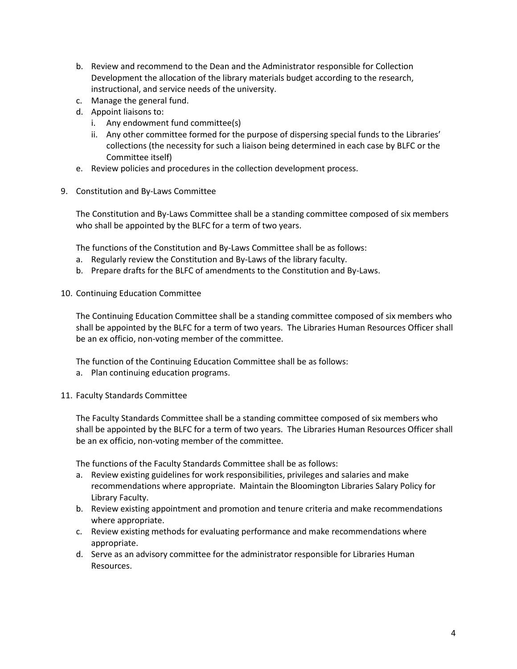- b. Review and recommend to the Dean and the Administrator responsible for Collection Development the allocation of the library materials budget according to the research, instructional, and service needs of the university.
- c. Manage the general fund.
- d. Appoint liaisons to:
	- i. Any endowment fund committee(s)
	- ii. Any other committee formed for the purpose of dispersing special funds to the Libraries' collections (the necessity for such a liaison being determined in each case by BLFC or the Committee itself)
- e. Review policies and procedures in the collection development process.
- 9. Constitution and By-Laws Committee

The Constitution and By-Laws Committee shall be a standing committee composed of six members who shall be appointed by the BLFC for a term of two years.

The functions of the Constitution and By-Laws Committee shall be as follows:

- a. Regularly review the Constitution and By-Laws of the library faculty.
- b. Prepare drafts for the BLFC of amendments to the Constitution and By-Laws.
- 10. Continuing Education Committee

The Continuing Education Committee shall be a standing committee composed of six members who shall be appointed by the BLFC for a term of two years. The Libraries Human Resources Officer shall be an ex officio, non-voting member of the committee.

The function of the Continuing Education Committee shall be as follows:

a. Plan continuing education programs.

#### 11. Faculty Standards Committee

The Faculty Standards Committee shall be a standing committee composed of six members who shall be appointed by the BLFC for a term of two years. The Libraries Human Resources Officer shall be an ex officio, non-voting member of the committee.

The functions of the Faculty Standards Committee shall be as follows:

- a. Review existing guidelines for work responsibilities, privileges and salaries and make recommendations where appropriate. Maintain the Bloomington Libraries Salary Policy for Library Faculty.
- b. Review existing appointment and promotion and tenure criteria and make recommendations where appropriate.
- c. Review existing methods for evaluating performance and make recommendations where appropriate.
- d. Serve as an advisory committee for the administrator responsible for Libraries Human Resources.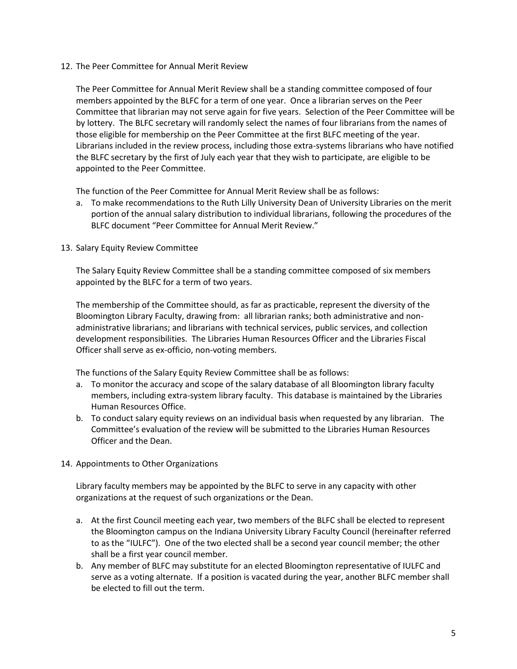12. The Peer Committee for Annual Merit Review

The Peer Committee for Annual Merit Review shall be a standing committee composed of four members appointed by the BLFC for a term of one year. Once a librarian serves on the Peer Committee that librarian may not serve again for five years. Selection of the Peer Committee will be by lottery. The BLFC secretary will randomly select the names of four librarians from the names of those eligible for membership on the Peer Committee at the first BLFC meeting of the year. Librarians included in the review process, including those extra-systems librarians who have notified the BLFC secretary by the first of July each year that they wish to participate, are eligible to be appointed to the Peer Committee.

The function of the Peer Committee for Annual Merit Review shall be as follows:

- a. To make recommendations to the Ruth Lilly University Dean of University Libraries on the merit portion of the annual salary distribution to individual librarians, following the procedures of the BLFC document "Peer Committee for Annual Merit Review."
- 13. Salary Equity Review Committee

The Salary Equity Review Committee shall be a standing committee composed of six members appointed by the BLFC for a term of two years.

The membership of the Committee should, as far as practicable, represent the diversity of the Bloomington Library Faculty, drawing from: all librarian ranks; both administrative and nonadministrative librarians; and librarians with technical services, public services, and collection development responsibilities. The Libraries Human Resources Officer and the Libraries Fiscal Officer shall serve as ex-officio, non-voting members.

The functions of the Salary Equity Review Committee shall be as follows:

- a. To monitor the accuracy and scope of the salary database of all Bloomington library faculty members, including extra-system library faculty. This database is maintained by the Libraries Human Resources Office.
- b. To conduct salary equity reviews on an individual basis when requested by any librarian. The Committee's evaluation of the review will be submitted to the Libraries Human Resources Officer and the Dean.
- 14. Appointments to Other Organizations

Library faculty members may be appointed by the BLFC to serve in any capacity with other organizations at the request of such organizations or the Dean.

- a. At the first Council meeting each year, two members of the BLFC shall be elected to represent the Bloomington campus on the Indiana University Library Faculty Council (hereinafter referred to as the "IULFC"). One of the two elected shall be a second year council member; the other shall be a first year council member.
- b. Any member of BLFC may substitute for an elected Bloomington representative of IULFC and serve as a voting alternate. If a position is vacated during the year, another BLFC member shall be elected to fill out the term.